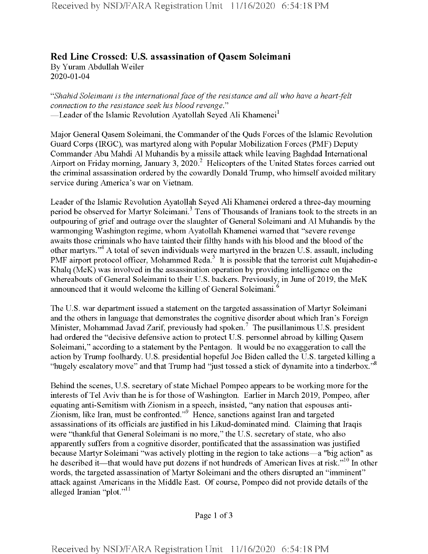## **Red Line Crossed: U.S. assassination of Qasem Soleimani** By Yuram Abdullah Weiler 2020-01-04

*"Shahid Soleimani is the internationalface ofthe resistance and all who have a heart-felt connection to the resistance seek his blood revenge*." —Leader of the Islamic Revolution Ayatollah Seyed Ali Khamenei<sup>1</sup>

Major General Qasem Soleimani, the Commander of the Quds Forces of the Islamic Revolution Guard Corps (IRGC), was martyred along with Popular Mobilization Forces (PMF) Deputy Commander Abu Mahdi A1 Muhandis by a missile attack while leaving Baghdad International Airport on Friday morning, January 3, 2020.<sup>2</sup> Helicopters of the United States forces carried out the criminal assassination ordered by the cowardly Donald Trump, who himself avoided military service during America's war on Vietnam.

Leader of the Islamic Revolution Ayatollah Seyed Ali Khamenei ordered a three-day mourning period be observed for Martyr Soleimani.<sup>3</sup> Tens of Thousands of Iranians took to the streets in an outpouring of grief and outrage over the slaughter of General Soleimani and A1 Muhandis by the warmonging Washington regime, whom Ayatollah Khamenei warned that "severe revenge awaits those criminals who have tainted their filthy hands with his blood and the blood of the other martyrs."<sup>4</sup> A total of seven individuals were martyred in the brazen U.S. assault, including PMF airport protocol officer, Mohammed Reda.<sup>5</sup> It is possible that the terrorist cult Mujahedin-e Khalq (MeK) was involved in the assassination operation by providing intelligence on the whereabouts of General Soleimani to their U.S. backers. Previously, in June of 2019, the MeK announced that it would welcome the killing of General Soleimani.<sup>6</sup>

The U.S. war department issued a statement on the targeted assassination of Martyr Soleimani and the others in language that demonstrates the cognitive disorder about which Iran's Foreign Minister, Mohammad Javad Zarif, previously had spoken.<sup>7</sup> The pusillanimous U.S. president had ordered the "decisive defensive action to protect U.S. personnel abroad by killing Qasem Soleimani," according to a statement by the Pentagon. It would be no exaggeration to call the action by Trump foolhardy. U.S. presidential hopeful Joe Biden called the U.S. targeted killing a "hugely escalatory move" and that Trump had "just tossed a stick of dynamite into a tinderbox."<sup>8</sup>

Behind the scenes, U.S. secretary of state Michael Pompeo appears to be working more for the interests of Tel Aviv than he is for those of Washington. Earlier in March 2019, Pompeo, after equating anti-Semitism with Zionism in a speech, insisted, "any nation that espouses anti-Zionism, like Iran, must be confronted."9 Hence, sanctions against Iran and targeted assassinations of its officials are justified in his Likud-dominated mind. Claiming that Iraqis were "thankful that General Soleimani is no more," the U.S. secretary of state, who also apparently suffers from a cognitive disorder, pontificated that the assassination was justified because Martyr Soleimani "was actively plotting in the region to take actions—a "big action" as he described it—that would have put dozens if not hundreds of American lives at risk."<sup>10</sup> In other words, the targeted assassination of Martyr Soleimani and the others disrupted an "imminent" attack against Americans in the Middle East. Of course, Pompeo did not provide details ofthe alleged Iranian "plot."<sup>11</sup>

Page 1 of 3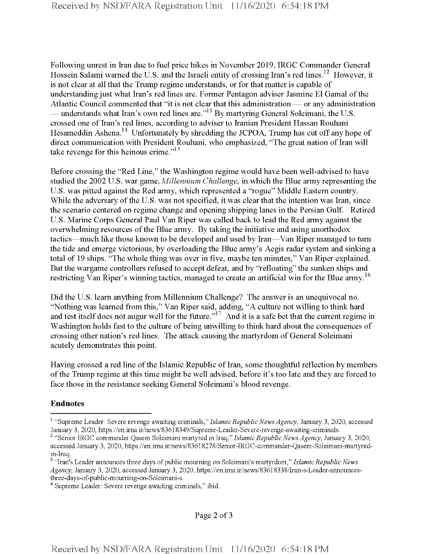Following unrest in Iran due to fuel price hikes in November 2019, IRGC Commander General Hossein Salami warned the U.S. and the Israeli entity of crossing Iran's red lines.<sup>12</sup> However, it is not clear at all that the Trump regime understands, or for that matter is capable of understanding just what Iran's red lines are. Former Pentagon adviser Jasmine El Gamal ofthe Atlantic Council commented that "it is not clear that this administration — or any administration — understands what Iran's own red lines are."<sup>13</sup> By martyring General Soleimani, the U.S. crossed one of Iran's red lines, according to adviser to Iranian President Hassan Rouhani Hesameddin Ashena.<sup>14</sup> Unfortunately by shredding the JCPOA, Trump has cut off any hope of direct communication with President Rouhani, who emphasized, "The great nation of Iran will take revenge for this heinous crime."<sup>15</sup>

Before crossing the "Red Line," the Washington regime would have been well-advised to have studied the 2002 U.S. war game, *Millennium* Challenge, in which the Blue army representing the U.S. was pitted against the Red army, which represented a "rogue" Middle Eastern country. While the adversary of the U.S. was not specified, it was clear that the intention was Iran, since the scenario centered on regime change and opening shipping lanes in the Persian Gulf. Retired U.S. Marine Corps General Paul Van Riper was called back to lead the Red army against the overwhelming resources of the Blue army. By taking the initiative and using unorthodox tactics—much like those known to be developed and used by Iran—Van Riper managed to turn the tide and emerge victorious, by overloading the Blue army's Aegis radar system and sinking a total of 19 ships. "The whole thing was over in five, maybe ten minutes," Van Riper explained. But the wargame controllers refused to accept defeat, and by "refloating" the sunken ships and restricting Van Riper's winning tactics, managed to create an artificial win for the Blue army.<sup>16</sup>

Did the U.S. learn anything from Millennium Challenge? The answer is an unequivocal no. "Nothing was learned from this," Van Riper said, adding, "A culture not willing to think hard and test itself does not augur well for the future.<sup> $17$ </sup> And it is a safe bet that the current regime in Washington holds fast to the culture of being unwilling to think hard about the consequences of crossing other nation's red lines. The attack causing the martyrdom of General Soleimani acutely demonstrates this point.

Having crossed a red line of the Islamic Republic of Iran, some thoughtful reflection by members ofthe Trump regime at this time might be well advised, before it's too late and they are forced to face those in the resistance seeking General Soleimani's blood revenge.

## **Endnotes**

<sup>&</sup>lt;sup>1</sup> "Supreme Leader: Severe revenge awaiting criminals," Islamic Republic News Agency, January 3, 2020, accessed January 3, 2020, https://en.irna.ir/news/83618349/Supreme-Leader-Severe-revenge-awaiting-criminals.

<sup>2</sup> "Senior IRGC commander Qasem Soleimani martyred in Iraq," *Islamic Republic NewsAgency,* January 3, 2020, accessed January 3, 2020, https://en.ima.ir/news/83618278/Senior-IRGC-commander-Qasem-Soleimani-martyredin-Iraq.

<sup>&</sup>lt;sup>3</sup> "Iran's Leader announces three days of public mourning on Soleimani's martyrdom," *Islamic Republic News Agency*, January 3, 2020, accessed January 3, 2020, https://en.ima.ir/news/83618338/Iran-s-Leader-announcesthree-days-of-public-mourning-on-Soleimani-s.

<sup>&</sup>lt;sup>4</sup> Supreme Leader: Severe revenge awaiting criminals," ibid.